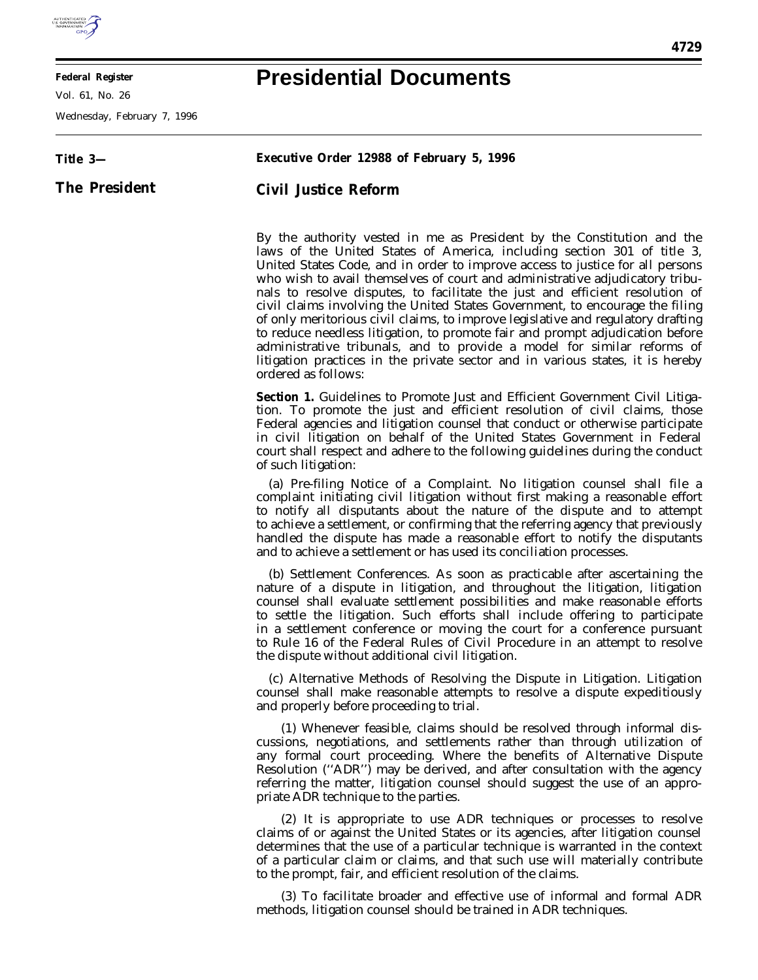

E

**Federal Register**

Vol. 61, No. 26

Wednesday, February 7, 1996

## **Presidential Documents**

| Title 3-      | Executive Order 12988 of February 5, 1996                                                                                                                                                                                                                                                                                                                                                                                                                                                                                                                                                                                                                                                                                                                                                                                                   |
|---------------|---------------------------------------------------------------------------------------------------------------------------------------------------------------------------------------------------------------------------------------------------------------------------------------------------------------------------------------------------------------------------------------------------------------------------------------------------------------------------------------------------------------------------------------------------------------------------------------------------------------------------------------------------------------------------------------------------------------------------------------------------------------------------------------------------------------------------------------------|
| The President | Civil Justice Reform                                                                                                                                                                                                                                                                                                                                                                                                                                                                                                                                                                                                                                                                                                                                                                                                                        |
|               | By the authority vested in me as President by the Constitution and the<br>laws of the United States of America, including section 301 of title 3,<br>United States Code, and in order to improve access to justice for all persons<br>who wish to avail themselves of court and administrative adjudicatory tribu-<br>nals to resolve disputes, to facilitate the just and efficient resolution of<br>civil claims involving the United States Government, to encourage the filing<br>of only meritorious civil claims, to improve legislative and regulatory drafting<br>to reduce needless litigation, to promote fair and prompt adjudication before<br>administrative tribunals, and to provide a model for similar reforms of<br>litigation practices in the private sector and in various states, it is hereby<br>ordered as follows: |
|               | Section 1. Guidelines to Promote Just and Efficient Government Civil Litiga-<br>tion. To promote the just and efficient resolution of civil claims, those<br>Federal agencies and litigation counsel that conduct or otherwise participate<br>in civil litigation on behalf of the United States Government in Federal<br>court shall respect and adhere to the following guidelines during the conduct<br>of such litigation:                                                                                                                                                                                                                                                                                                                                                                                                              |
|               | (a) Pre-filing Notice of a Complaint. No litigation counsel shall file a<br>complaint initiating civil litigation without first making a reasonable effort<br>to notify all disputants about the nature of the dispute and to attempt<br>to achieve a settlement, or confirming that the referring agency that previously<br>handled the dispute has made a reasonable effort to notify the disputants<br>and to achieve a settlement or has used its conciliation processes.                                                                                                                                                                                                                                                                                                                                                               |
|               | (b) Settlement Conferences. As soon as practicable after ascertaining the<br>nature of a dispute in litigation, and throughout the litigation, litigation<br>counsel shall evaluate settlement possibilities and make reasonable efforts<br>to settle the litigation. Such efforts shall include offering to participate<br>in a settlement conference or moving the court for a conference pursuant<br>to Rule 16 of the Federal Rules of Civil Procedure in an attempt to resolve<br>the dispute without additional civil litigation.                                                                                                                                                                                                                                                                                                     |
|               | (c) Alternative Methods of Resolving the Dispute in Litigation. Litigation<br>counsel shall make reasonable attempts to resolve a dispute expeditiously<br>and properly before proceeding to trial.                                                                                                                                                                                                                                                                                                                                                                                                                                                                                                                                                                                                                                         |
|               | (1) Whenever feasible, claims should be resolved through informal dis-<br>cussions, negotiations, and settlements rather than through utilization of<br>any formal court proceeding. Where the benefits of Alternative Dispute<br>Resolution ("ADR") may be derived, and after consultation with the agency<br>referring the matter, litigation counsel should suggest the use of an appro-<br>priate ADR technique to the parties.                                                                                                                                                                                                                                                                                                                                                                                                         |
|               | (2) It is appropriate to use ADR techniques or processes to resolve<br>claims of or against the United States or its agencies, after litigation counsel<br>determines that the use of a particular technique is warranted in the context<br>of a particular claim or claims, and that such use will materially contribute<br>to the prompt, fair, and efficient resolution of the claims.                                                                                                                                                                                                                                                                                                                                                                                                                                                   |
|               | (3) To facilitate broader and effective use of informal and formal ADR<br>methods, litigation counsel should be trained in ADR techniques.                                                                                                                                                                                                                                                                                                                                                                                                                                                                                                                                                                                                                                                                                                  |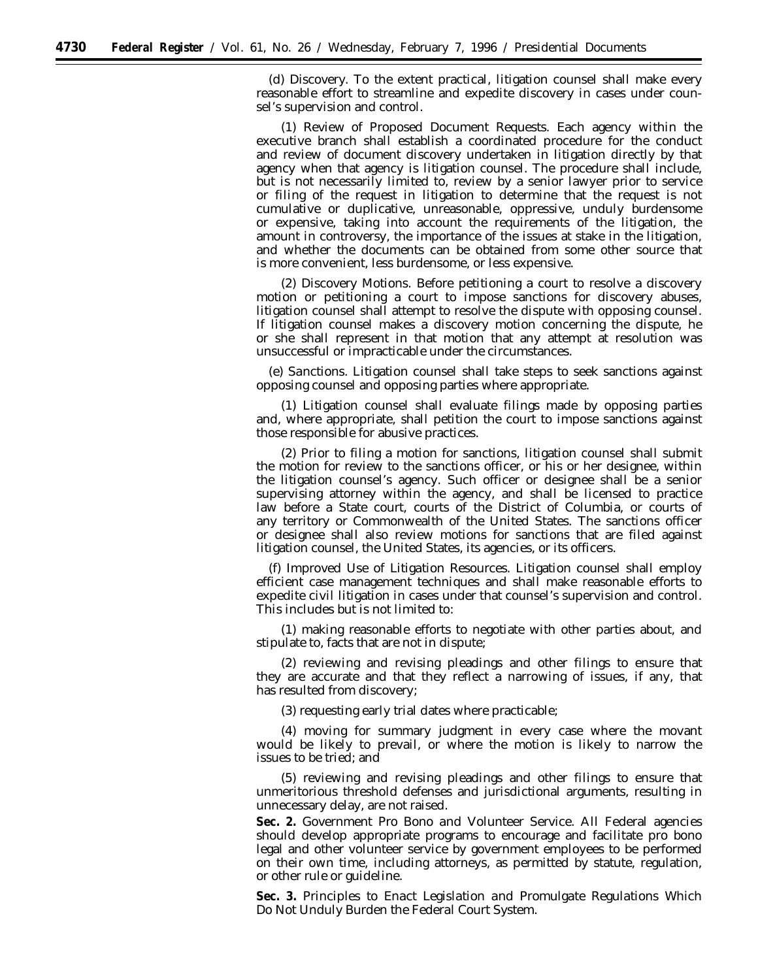(d) *Discovery*. To the extent practical, litigation counsel shall make every reasonable effort to streamline and expedite discovery in cases under counsel's supervision and control.

(1) *Review of Proposed Document Requests.* Each agency within the executive branch shall establish a coordinated procedure for the conduct and review of document discovery undertaken in litigation directly by that agency when that agency is litigation counsel. The procedure shall include, but is not necessarily limited to, review by a senior lawyer prior to service or filing of the request in litigation to determine that the request is not cumulative or duplicative, unreasonable, oppressive, unduly burdensome or expensive, taking into account the requirements of the litigation, the amount in controversy, the importance of the issues at stake in the litigation, and whether the documents can be obtained from some other source that is more convenient, less burdensome, or less expensive.

(2) *Discovery Motions.* Before petitioning a court to resolve a discovery motion or petitioning a court to impose sanctions for discovery abuses, litigation counsel shall attempt to resolve the dispute with opposing counsel. If litigation counsel makes a discovery motion concerning the dispute, he or she shall represent in that motion that any attempt at resolution was unsuccessful or impracticable under the circumstances.

(e) *Sanctions.* Litigation counsel shall take steps to seek sanctions against opposing counsel and opposing parties where appropriate.

(1) Litigation counsel shall evaluate filings made by opposing parties and, where appropriate, shall petition the court to impose sanctions against those responsible for abusive practices.

(2) Prior to filing a motion for sanctions, litigation counsel shall submit the motion for review to the sanctions officer, or his or her designee, within the litigation counsel's agency. Such officer or designee shall be a senior supervising attorney within the agency, and shall be licensed to practice law before a State court, courts of the District of Columbia, or courts of any territory or Commonwealth of the United States. The sanctions officer or designee shall also review motions for sanctions that are filed against litigation counsel, the United States, its agencies, or its officers.

(f) *Improved Use of Litigation Resources.* Litigation counsel shall employ efficient case management techniques and shall make reasonable efforts to expedite civil litigation in cases under that counsel's supervision and control. This includes but is not limited to:

(1) making reasonable efforts to negotiate with other parties about, and stipulate to, facts that are not in dispute;

(2) reviewing and revising pleadings and other filings to ensure that they are accurate and that they reflect a narrowing of issues, if any, that has resulted from discovery;

(3) requesting early trial dates where practicable;

(4) moving for summary judgment in every case where the movant would be likely to prevail, or where the motion is likely to narrow the issues to be tried; and

(5) reviewing and revising pleadings and other filings to ensure that unmeritorious threshold defenses and jurisdictional arguments, resulting in unnecessary delay, are not raised.

**Sec. 2.** *Government Pro Bono and Volunteer Service.* All Federal agencies should develop appropriate programs to encourage and facilitate pro bono legal and other volunteer service by government employees to be performed on their own time, including attorneys, as permitted by statute, regulation, or other rule or guideline.

**Sec. 3.** *Principles to Enact Legislation and Promulgate Regulations Which Do Not Unduly Burden the Federal Court System.*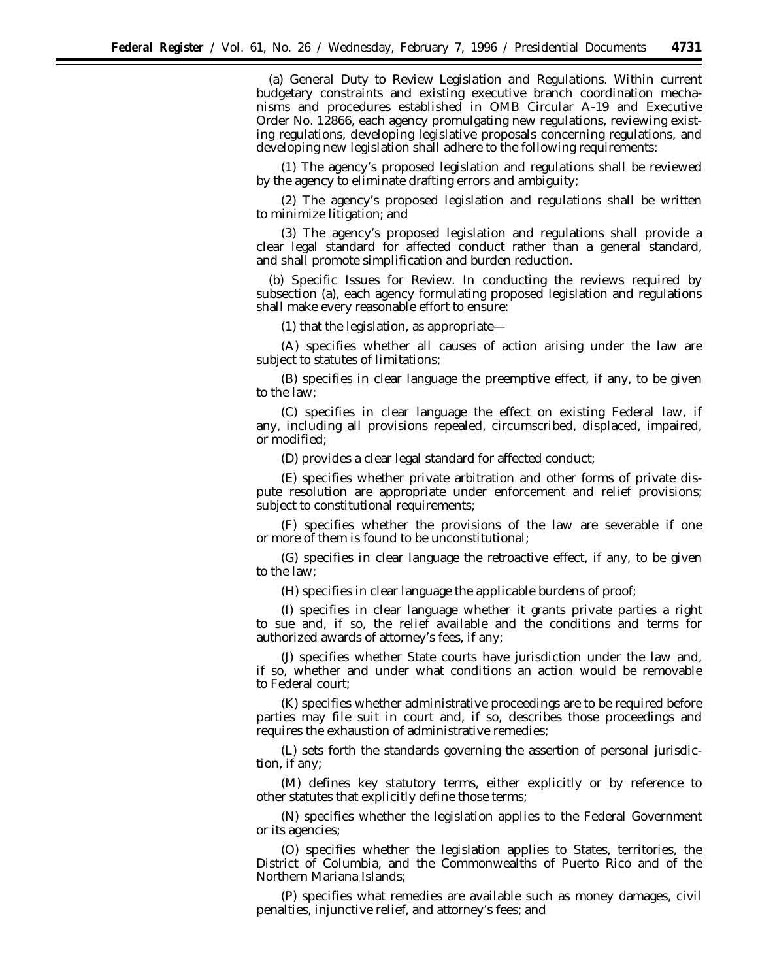(a) *General Duty to Review Legislation and Regulations.* Within current budgetary constraints and existing executive branch coordination mechanisms and procedures established in OMB Circular A-19 and Executive Order No. 12866, each agency promulgating new regulations, reviewing existing regulations, developing legislative proposals concerning regulations, and developing new legislation shall adhere to the following requirements:

(1) The agency's proposed legislation and regulations shall be reviewed by the agency to eliminate drafting errors and ambiguity;

(2) The agency's proposed legislation and regulations shall be written to minimize litigation; and

(3) The agency's proposed legislation and regulations shall provide a clear legal standard for affected conduct rather than a general standard, and shall promote simplification and burden reduction.

(b) *Specific Issues for Review.* In conducting the reviews required by subsection (a), each agency formulating proposed legislation and regulations shall make every reasonable effort to ensure:

(1) that the legislation, as appropriate—

(A) specifies whether all causes of action arising under the law are subject to statutes of limitations;

(B) specifies in clear language the preemptive effect, if any, to be given to the law;

(C) specifies in clear language the effect on existing Federal law, if any, including all provisions repealed, circumscribed, displaced, impaired, or modified;

(D) provides a clear legal standard for affected conduct;

(E) specifies whether private arbitration and other forms of private dispute resolution are appropriate under enforcement and relief provisions; subject to constitutional requirements;

(F) specifies whether the provisions of the law are severable if one or more of them is found to be unconstitutional;

(G) specifies in clear language the retroactive effect, if any, to be given to the law;

(H) specifies in clear language the applicable burdens of proof;

(I) specifies in clear language whether it grants private parties a right to sue and, if so, the relief available and the conditions and terms for authorized awards of attorney's fees, if any;

(J) specifies whether State courts have jurisdiction under the law and, if so, whether and under what conditions an action would be removable to Federal court;

(K) specifies whether administrative proceedings are to be required before parties may file suit in court and, if so, describes those proceedings and requires the exhaustion of administrative remedies;

(L) sets forth the standards governing the assertion of personal jurisdiction, if any;

(M) defines key statutory terms, either explicitly or by reference to other statutes that explicitly define those terms;

(N) specifies whether the legislation applies to the Federal Government or its agencies;

(O) specifies whether the legislation applies to States, territories, the District of Columbia, and the Commonwealths of Puerto Rico and of the Northern Mariana Islands;

(P) specifies what remedies are available such as money damages, civil penalties, injunctive relief, and attorney's fees; and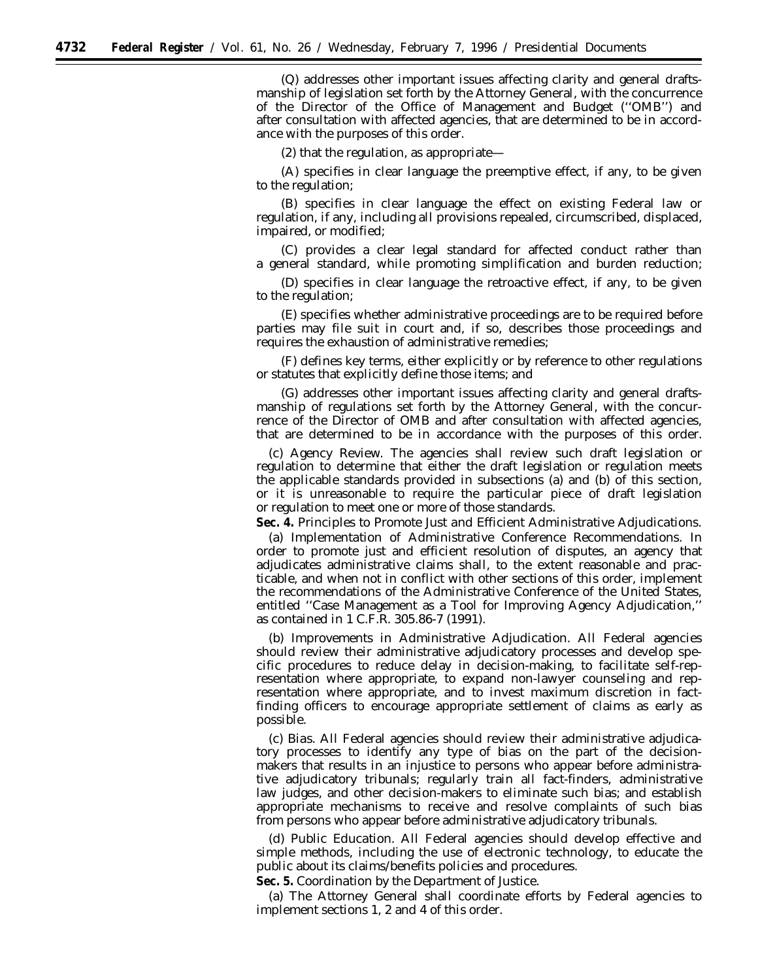(Q) addresses other important issues affecting clarity and general draftsmanship of legislation set forth by the Attorney General, with the concurrence of the Director of the Office of Management and Budget (''OMB'') and after consultation with affected agencies, that are determined to be in accordance with the purposes of this order.

(2) that the regulation, as appropriate—

(A) specifies in clear language the preemptive effect, if any, to be given to the regulation;

(B) specifies in clear language the effect on existing Federal law or regulation, if any, including all provisions repealed, circumscribed, displaced, impaired, or modified;

(C) provides a clear legal standard for affected conduct rather than a general standard, while promoting simplification and burden reduction;

(D) specifies in clear language the retroactive effect, if any, to be given to the regulation;

(E) specifies whether administrative proceedings are to be required before parties may file suit in court and, if so, describes those proceedings and requires the exhaustion of administrative remedies;

(F) defines key terms, either explicitly or by reference to other regulations or statutes that explicitly define those items; and

(G) addresses other important issues affecting clarity and general draftsmanship of regulations set forth by the Attorney General, with the concurrence of the Director of OMB and after consultation with affected agencies, that are determined to be in accordance with the purposes of this order.

(c) *Agency Review.* The agencies shall review such draft legislation or regulation to determine that either the draft legislation or regulation meets the applicable standards provided in subsections (a) and (b) of this section, or it is unreasonable to require the particular piece of draft legislation or regulation to meet one or more of those standards.

**Sec. 4.** *Principles to Promote Just and Efficient Administrative Adjudications.*

(a) *Implementation of Administrative Conference Recommendations.* In order to promote just and efficient resolution of disputes, an agency that adjudicates administrative claims shall, to the extent reasonable and practicable, and when not in conflict with other sections of this order, implement the recommendations of the Administrative Conference of the United States, entitled ''Case Management as a Tool for Improving Agency Adjudication,'' as contained in 1 C.F.R. 305.86-7 (1991).

(b) *Improvements in Administrative Adjudication.* All Federal agencies should review their administrative adjudicatory processes and develop specific procedures to reduce delay in decision-making, to facilitate self-representation where appropriate, to expand non-lawyer counseling and representation where appropriate, and to invest maximum discretion in factfinding officers to encourage appropriate settlement of claims as early as possible.

(c) *Bias.* All Federal agencies should review their administrative adjudicatory processes to identify any type of bias on the part of the decisionmakers that results in an injustice to persons who appear before administrative adjudicatory tribunals; regularly train all fact-finders, administrative law judges, and other decision-makers to eliminate such bias; and establish appropriate mechanisms to receive and resolve complaints of such bias from persons who appear before administrative adjudicatory tribunals.

(d) *Public Education.* All Federal agencies should develop effective and simple methods, including the use of electronic technology, to educate the public about its claims/benefits policies and procedures.

**Sec. 5.** *Coordination by the Department of Justice.*

(a) The Attorney General shall coordinate efforts by Federal agencies to implement sections 1, 2 and 4 of this order.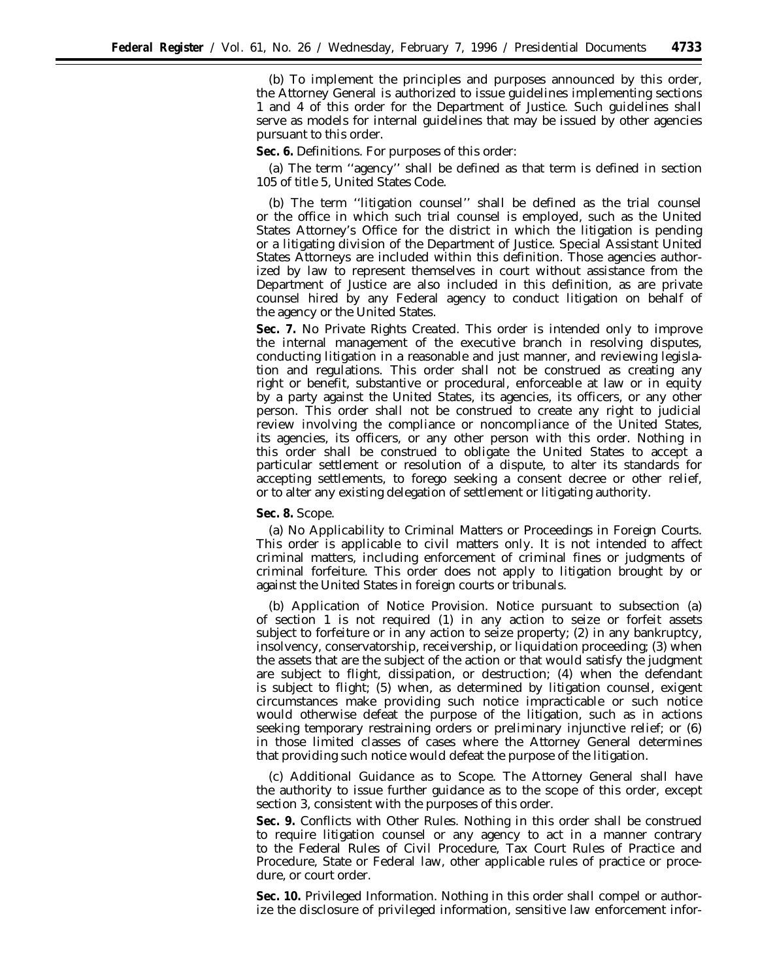(b) To implement the principles and purposes announced by this order, the Attorney General is authorized to issue guidelines implementing sections 1 and 4 of this order for the Department of Justice. Such guidelines shall serve as models for internal guidelines that may be issued by other agencies pursuant to this order.

**Sec. 6.** *Definitions.* For purposes of this order:

(a) The term ''agency'' shall be defined as that term is defined in section 105 of title 5, United States Code.

(b) The term ''litigation counsel'' shall be defined as the trial counsel or the office in which such trial counsel is employed, such as the United States Attorney's Office for the district in which the litigation is pending or a litigating division of the Department of Justice. Special Assistant United States Attorneys are included within this definition. Those agencies authorized by law to represent themselves in court without assistance from the Department of Justice are also included in this definition, as are private counsel hired by any Federal agency to conduct litigation on behalf of the agency or the United States.

**Sec. 7.** *No Private Rights Created.* This order is intended only to improve the internal management of the executive branch in resolving disputes, conducting litigation in a reasonable and just manner, and reviewing legislation and regulations. This order shall not be construed as creating any right or benefit, substantive or procedural, enforceable at law or in equity by a party against the United States, its agencies, its officers, or any other person. This order shall not be construed to create any right to judicial review involving the compliance or noncompliance of the United States, its agencies, its officers, or any other person with this order. Nothing in this order shall be construed to obligate the United States to accept a particular settlement or resolution of a dispute, to alter its standards for accepting settlements, to forego seeking a consent decree or other relief, or to alter any existing delegation of settlement or litigating authority.

## **Sec. 8.** *Scope.*

(a) *No Applicability to Criminal Matters or Proceedings in Foreign Courts.* This order is applicable to civil matters only. It is not intended to affect criminal matters, including enforcement of criminal fines or judgments of criminal forfeiture. This order does not apply to litigation brought by or against the United States in foreign courts or tribunals.

(b) *Application of Notice Provision.* Notice pursuant to subsection (a) of section 1 is not required (1) in any action to seize or forfeit assets subject to forfeiture or in any action to seize property; (2) in any bankruptcy, insolvency, conservatorship, receivership, or liquidation proceeding; (3) when the assets that are the subject of the action or that would satisfy the judgment are subject to flight, dissipation, or destruction; (4) when the defendant is subject to flight; (5) when, as determined by litigation counsel, exigent circumstances make providing such notice impracticable or such notice would otherwise defeat the purpose of the litigation, such as in actions seeking temporary restraining orders or preliminary injunctive relief; or (6) in those limited classes of cases where the Attorney General determines that providing such notice would defeat the purpose of the litigation.

(c) *Additional Guidance as to Scope.* The Attorney General shall have the authority to issue further guidance as to the scope of this order, except section 3, consistent with the purposes of this order.

**Sec. 9.** *Conflicts with Other Rules.* Nothing in this order shall be construed to require litigation counsel or any agency to act in a manner contrary to the Federal Rules of Civil Procedure, Tax Court Rules of Practice and Procedure, State or Federal law, other applicable rules of practice or procedure, or court order.

**Sec. 10.** *Privileged Information.* Nothing in this order shall compel or authorize the disclosure of privileged information, sensitive law enforcement infor